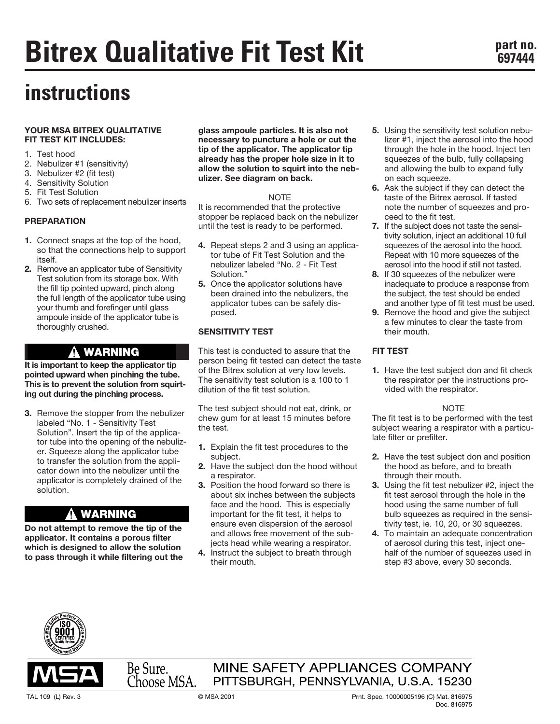# **instructions**

#### **YOUR MSA BITREX QUALITATIVE FIT TEST KIT INCLUDES:**

- 1. Test hood
- 2. Nebulizer #1 (sensitivity)
- 3. Nebulizer #2 (fit test)
- 4. Sensitivity Solution
- 5. Fit Test Solution
- 6. Two sets of replacement nebulizer inserts

#### **PREPARATION**

- **1.** Connect snaps at the top of the hood, so that the connections help to support itself.
- **2.** Remove an applicator tube of Sensitivity Test solution from its storage box. With the fill tip pointed upward, pinch along the full length of the applicator tube using your thumb and forefinger until glass ampoule inside of the applicator tube is thoroughly crushed.

# **WARNING**

**It is important to keep the applicator tip pointed upward when pinching the tube. This is to prevent the solution from squirting out during the pinching process.**

**3.** Remove the stopper from the nebulizer labeled "No. 1 - Sensitivity Test Solution". Insert the tip of the applicator tube into the opening of the nebulizer. Squeeze along the applicator tube to transfer the solution from the applicator down into the nebulizer until the applicator is completely drained of the solution.

# **WARNING**

**Do not attempt to remove the tip of the applicator. It contains a porous filter which is designed to allow the solution to pass through it while filtering out the** **glass ampoule particles. It is also not necessary to puncture a hole or cut the tip of the applicator. The applicator tip already has the proper hole size in it to allow the solution to squirt into the nebulizer. See diagram on back.**

#### **NOTE**

It is recommended that the protective stopper be replaced back on the nebulizer until the test is ready to be performed.

- **4.** Repeat steps 2 and 3 using an applicator tube of Fit Test Solution and the nebulizer labeled "No. 2 - Fit Test Solution."
- **5.** Once the applicator solutions have been drained into the nebulizers, the applicator tubes can be safely disposed.

## **SENSITIVITY TEST**

This test is conducted to assure that the person being fit tested can detect the taste of the Bitrex solution at very low levels. The sensitivity test solution is a 100 to 1 dilution of the fit test solution.

The test subject should not eat, drink, or chew gum for at least 15 minutes before the test.

- **1.** Explain the fit test procedures to the subject.
- **2.** Have the subject don the hood without a respirator.
- **3.** Position the hood forward so there is about six inches between the subjects face and the hood. This is especially important for the fit test, it helps to ensure even dispersion of the aerosol and allows free movement of the subjects head while wearing a respirator.
- **4.** Instruct the subject to breath through their mouth.
- **5.** Using the sensitivity test solution nebulizer #1, inject the aerosol into the hood through the hole in the hood. Inject ten squeezes of the bulb, fully collapsing and allowing the bulb to expand fully on each squeeze.
- **6.** Ask the subject if they can detect the taste of the Bitrex aerosol. If tasted note the number of squeezes and proceed to the fit test.
- **7.** If the subject does not taste the sensitivity solution, inject an additional 10 full squeezes of the aerosol into the hood. Repeat with 10 more squeezes of the aerosol into the hood if still not tasted.
- **8.** If 30 squeezes of the nebulizer were inadequate to produce a response from the subject, the test should be ended and another type of fit test must be used.
- **9.** Remove the hood and give the subject a few minutes to clear the taste from their mouth.

## **FIT TEST**

**1.** Have the test subject don and fit check the respirator per the instructions provided with the respirator.

#### **NOTE**

The fit test is to be performed with the test subject wearing a respirator with a particulate filter or prefilter.

- **2.** Have the test subject don and position the hood as before, and to breath through their mouth.
- **3.** Using the fit test nebulizer #2, inject the fit test aerosol through the hole in the hood using the same number of full bulb squeezes as required in the sensitivity test, ie. 10, 20, or 30 squeezes.
- **4.** To maintain an adequate concentration of aerosol during this test, inject onehalf of the number of squeezes used in step #3 above, every 30 seconds.





# MINE SAFETY APPLIANCES COMPANY PITTSBURGH, PENNSYLVANIA, U.S.A. 15230

Be Sure.<br>Choose MSA.